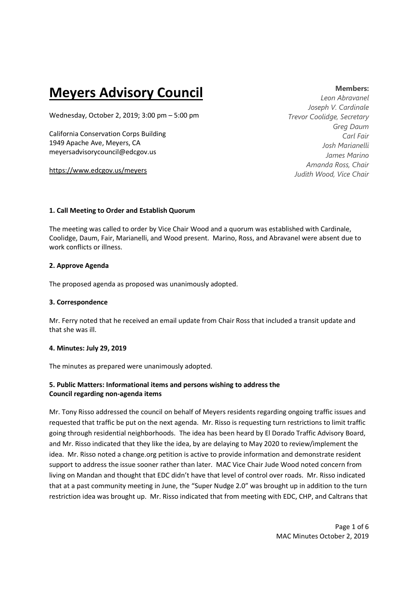# **Meyers Advisory Council**

Wednesday, October 2, 2019; 3:00 pm – 5:00 pm

California Conservation Corps Building 1949 Apache Ave, Meyers, CA meyersadvisorycouncil@edcgov.us

https://www.edcgov.us/meyers

#### **Members:**

*Leon Abravanel Joseph V. Cardinale Trevor Coolidge, Secretary Greg Daum Carl Fair Josh Marianelli James Marino Amanda Ross, Chair Judith Wood, Vice Chair* 

## **1. Call Meeting to Order and Establish Quorum**

The meeting was called to order by Vice Chair Wood and a quorum was established with Cardinale, Coolidge, Daum, Fair, Marianelli, and Wood present. Marino, Ross, and Abravanel were absent due to work conflicts or illness.

## **2. Approve Agenda**

The proposed agenda as proposed was unanimously adopted.

## **3. Correspondence**

Mr. Ferry noted that he received an email update from Chair Ross that included a transit update and that she was ill.

## **4. Minutes: July 29, 2019**

The minutes as prepared were unanimously adopted.

# **5. Public Matters: Informational items and persons wishing to address the Council regarding non-agenda items**

Mr. Tony Risso addressed the council on behalf of Meyers residents regarding ongoing traffic issues and requested that traffic be put on the next agenda. Mr. Risso is requesting turn restrictions to limit traffic going through residential neighborhoods. The idea has been heard by El Dorado Traffic Advisory Board, and Mr. Risso indicated that they like the idea, by are delaying to May 2020 to review/implement the idea. Mr. Risso noted a change.org petition is active to provide information and demonstrate resident support to address the issue sooner rather than later. MAC Vice Chair Jude Wood noted concern from living on Mandan and thought that EDC didn't have that level of control over roads. Mr. Risso indicated that at a past community meeting in June, the "Super Nudge 2.0" was brought up in addition to the turn restriction idea was brought up. Mr. Risso indicated that from meeting with EDC, CHP, and Caltrans that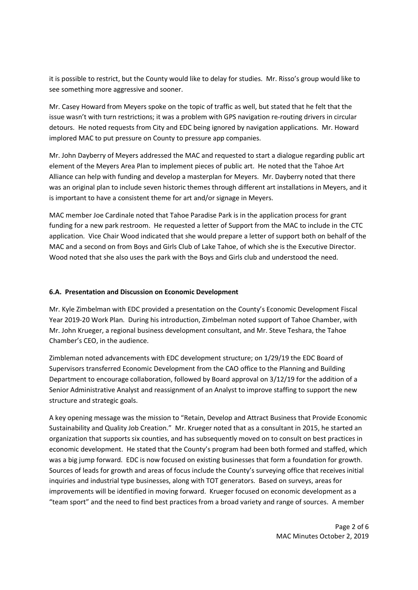it is possible to restrict, but the County would like to delay for studies. Mr. Risso's group would like to see something more aggressive and sooner.

Mr. Casey Howard from Meyers spoke on the topic of traffic as well, but stated that he felt that the issue wasn't with turn restrictions; it was a problem with GPS navigation re-routing drivers in circular detours. He noted requests from City and EDC being ignored by navigation applications. Mr. Howard implored MAC to put pressure on County to pressure app companies.

Mr. John Dayberry of Meyers addressed the MAC and requested to start a dialogue regarding public art element of the Meyers Area Plan to implement pieces of public art. He noted that the Tahoe Art Alliance can help with funding and develop a masterplan for Meyers. Mr. Dayberry noted that there was an original plan to include seven historic themes through different art installations in Meyers, and it is important to have a consistent theme for art and/or signage in Meyers.

MAC member Joe Cardinale noted that Tahoe Paradise Park is in the application process for grant funding for a new park restroom. He requested a letter of Support from the MAC to include in the CTC application. Vice Chair Wood indicated that she would prepare a letter of support both on behalf of the MAC and a second on from Boys and Girls Club of Lake Tahoe, of which she is the Executive Director. Wood noted that she also uses the park with the Boys and Girls club and understood the need.

#### **6.A. Presentation and Discussion on Economic Development**

Mr. Kyle Zimbelman with EDC provided a presentation on the County's Economic Development Fiscal Year 2019-20 Work Plan. During his introduction, Zimbelman noted support of Tahoe Chamber, with Mr. John Krueger, a regional business development consultant, and Mr. Steve Teshara, the Tahoe Chamber's CEO, in the audience.

Zimbleman noted advancements with EDC development structure; on 1/29/19 the EDC Board of Supervisors transferred Economic Development from the CAO office to the Planning and Building Department to encourage collaboration, followed by Board approval on 3/12/19 for the addition of a Senior Administrative Analyst and reassignment of an Analyst to improve staffing to support the new structure and strategic goals.

A key opening message was the mission to "Retain, Develop and Attract Business that Provide Economic Sustainability and Quality Job Creation." Mr. Krueger noted that as a consultant in 2015, he started an organization that supports six counties, and has subsequently moved on to consult on best practices in economic development. He stated that the County's program had been both formed and staffed, which was a big jump forward. EDC is now focused on existing businesses that form a foundation for growth. Sources of leads for growth and areas of focus include the County's surveying office that receives initial inquiries and industrial type businesses, along with TOT generators. Based on surveys, areas for improvements will be identified in moving forward. Krueger focused on economic development as a "team sport" and the need to find best practices from a broad variety and range of sources. A member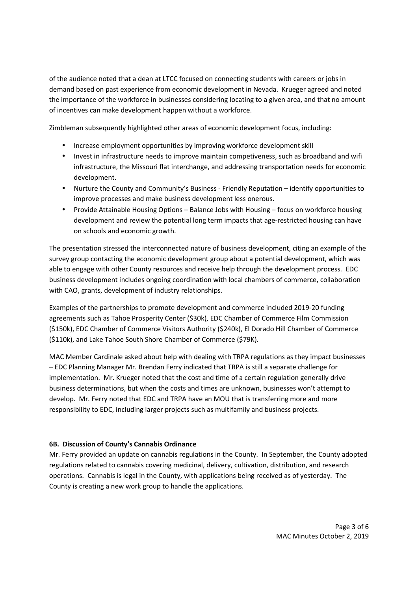of the audience noted that a dean at LTCC focused on connecting students with careers or jobs in demand based on past experience from economic development in Nevada. Krueger agreed and noted the importance of the workforce in businesses considering locating to a given area, and that no amount of incentives can make development happen without a workforce.

Zimbleman subsequently highlighted other areas of economic development focus, including:

- Increase employment opportunities by improving workforce development skill
- Invest in infrastructure needs to improve maintain competiveness, such as broadband and wifi infrastructure, the Missouri flat interchange, and addressing transportation needs for economic development.
- Nurture the County and Community's Business Friendly Reputation identify opportunities to improve processes and make business development less onerous.
- Provide Attainable Housing Options Balance Jobs with Housing focus on workforce housing development and review the potential long term impacts that age-restricted housing can have on schools and economic growth.

The presentation stressed the interconnected nature of business development, citing an example of the survey group contacting the economic development group about a potential development, which was able to engage with other County resources and receive help through the development process. EDC business development includes ongoing coordination with local chambers of commerce, collaboration with CAO, grants, development of industry relationships.

Examples of the partnerships to promote development and commerce included 2019-20 funding agreements such as Tahoe Prosperity Center (\$30k), EDC Chamber of Commerce Film Commission (\$150k), EDC Chamber of Commerce Visitors Authority (\$240k), El Dorado Hill Chamber of Commerce (\$110k), and Lake Tahoe South Shore Chamber of Commerce (\$79K).

MAC Member Cardinale asked about help with dealing with TRPA regulations as they impact businesses – EDC Planning Manager Mr. Brendan Ferry indicated that TRPA is still a separate challenge for implementation. Mr. Krueger noted that the cost and time of a certain regulation generally drive business determinations, but when the costs and times are unknown, businesses won't attempt to develop. Mr. Ferry noted that EDC and TRPA have an MOU that is transferring more and more responsibility to EDC, including larger projects such as multifamily and business projects.

## **6B. Discussion of County's Cannabis Ordinance**

Mr. Ferry provided an update on cannabis regulations in the County. In September, the County adopted regulations related to cannabis covering medicinal, delivery, cultivation, distribution, and research operations. Cannabis is legal in the County, with applications being received as of yesterday. The County is creating a new work group to handle the applications.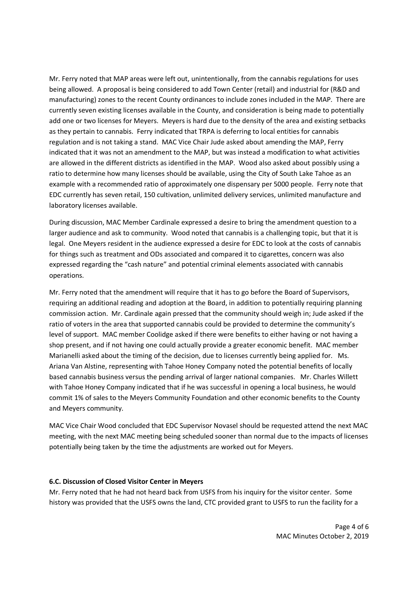Mr. Ferry noted that MAP areas were left out, unintentionally, from the cannabis regulations for uses being allowed. A proposal is being considered to add Town Center (retail) and industrial for (R&D and manufacturing) zones to the recent County ordinances to include zones included in the MAP. There are currently seven existing licenses available in the County, and consideration is being made to potentially add one or two licenses for Meyers. Meyers is hard due to the density of the area and existing setbacks as they pertain to cannabis. Ferry indicated that TRPA is deferring to local entities for cannabis regulation and is not taking a stand. MAC Vice Chair Jude asked about amending the MAP, Ferry indicated that it was not an amendment to the MAP, but was instead a modification to what activities are allowed in the different districts as identified in the MAP. Wood also asked about possibly using a ratio to determine how many licenses should be available, using the City of South Lake Tahoe as an example with a recommended ratio of approximately one dispensary per 5000 people. Ferry note that EDC currently has seven retail, 150 cultivation, unlimited delivery services, unlimited manufacture and laboratory licenses available.

During discussion, MAC Member Cardinale expressed a desire to bring the amendment question to a larger audience and ask to community. Wood noted that cannabis is a challenging topic, but that it is legal. One Meyers resident in the audience expressed a desire for EDC to look at the costs of cannabis for things such as treatment and ODs associated and compared it to cigarettes, concern was also expressed regarding the "cash nature" and potential criminal elements associated with cannabis operations.

Mr. Ferry noted that the amendment will require that it has to go before the Board of Supervisors, requiring an additional reading and adoption at the Board, in addition to potentially requiring planning commission action. Mr. Cardinale again pressed that the community should weigh in; Jude asked if the ratio of voters in the area that supported cannabis could be provided to determine the community's level of support. MAC member Coolidge asked if there were benefits to either having or not having a shop present, and if not having one could actually provide a greater economic benefit. MAC member Marianelli asked about the timing of the decision, due to licenses currently being applied for. Ms. Ariana Van Alstine, representing with Tahoe Honey Company noted the potential benefits of locally based cannabis business versus the pending arrival of larger national companies. Mr. Charles Willett with Tahoe Honey Company indicated that if he was successful in opening a local business, he would commit 1% of sales to the Meyers Community Foundation and other economic benefits to the County and Meyers community.

MAC Vice Chair Wood concluded that EDC Supervisor Novasel should be requested attend the next MAC meeting, with the next MAC meeting being scheduled sooner than normal due to the impacts of licenses potentially being taken by the time the adjustments are worked out for Meyers.

## **6.C. Discussion of Closed Visitor Center in Meyers**

Mr. Ferry noted that he had not heard back from USFS from his inquiry for the visitor center. Some history was provided that the USFS owns the land, CTC provided grant to USFS to run the facility for a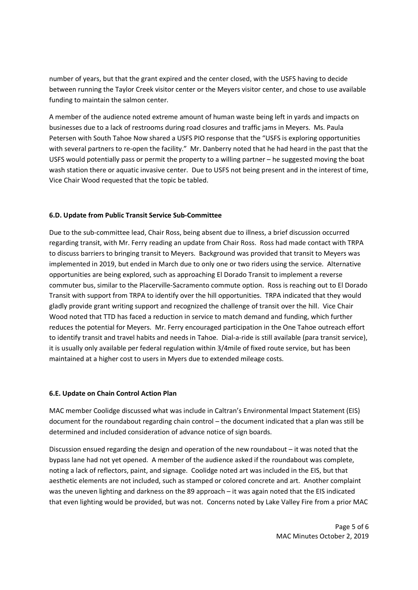number of years, but that the grant expired and the center closed, with the USFS having to decide between running the Taylor Creek visitor center or the Meyers visitor center, and chose to use available funding to maintain the salmon center.

A member of the audience noted extreme amount of human waste being left in yards and impacts on businesses due to a lack of restrooms during road closures and traffic jams in Meyers. Ms. Paula Petersen with South Tahoe Now shared a USFS PIO response that the "USFS is exploring opportunities with several partners to re-open the facility." Mr. Danberry noted that he had heard in the past that the USFS would potentially pass or permit the property to a willing partner – he suggested moving the boat wash station there or aquatic invasive center. Due to USFS not being present and in the interest of time, Vice Chair Wood requested that the topic be tabled.

## **6.D. Update from Public Transit Service Sub-Committee**

Due to the sub-committee lead, Chair Ross, being absent due to illness, a brief discussion occurred regarding transit, with Mr. Ferry reading an update from Chair Ross. Ross had made contact with TRPA to discuss barriers to bringing transit to Meyers. Background was provided that transit to Meyers was implemented in 2019, but ended in March due to only one or two riders using the service. Alternative opportunities are being explored, such as approaching El Dorado Transit to implement a reverse commuter bus, similar to the Placerville-Sacramento commute option. Ross is reaching out to El Dorado Transit with support from TRPA to identify over the hill opportunities. TRPA indicated that they would gladly provide grant writing support and recognized the challenge of transit over the hill. Vice Chair Wood noted that TTD has faced a reduction in service to match demand and funding, which further reduces the potential for Meyers. Mr. Ferry encouraged participation in the One Tahoe outreach effort to identify transit and travel habits and needs in Tahoe. Dial-a-ride is still available (para transit service), it is usually only available per federal regulation within 3/4mile of fixed route service, but has been maintained at a higher cost to users in Myers due to extended mileage costs.

#### **6.E. Update on Chain Control Action Plan**

MAC member Coolidge discussed what was include in Caltran's Environmental Impact Statement (EIS) document for the roundabout regarding chain control – the document indicated that a plan was still be determined and included consideration of advance notice of sign boards.

Discussion ensued regarding the design and operation of the new roundabout – it was noted that the bypass lane had not yet opened. A member of the audience asked if the roundabout was complete, noting a lack of reflectors, paint, and signage. Coolidge noted art was included in the EIS, but that aesthetic elements are not included, such as stamped or colored concrete and art. Another complaint was the uneven lighting and darkness on the 89 approach – it was again noted that the EIS indicated that even lighting would be provided, but was not. Concerns noted by Lake Valley Fire from a prior MAC